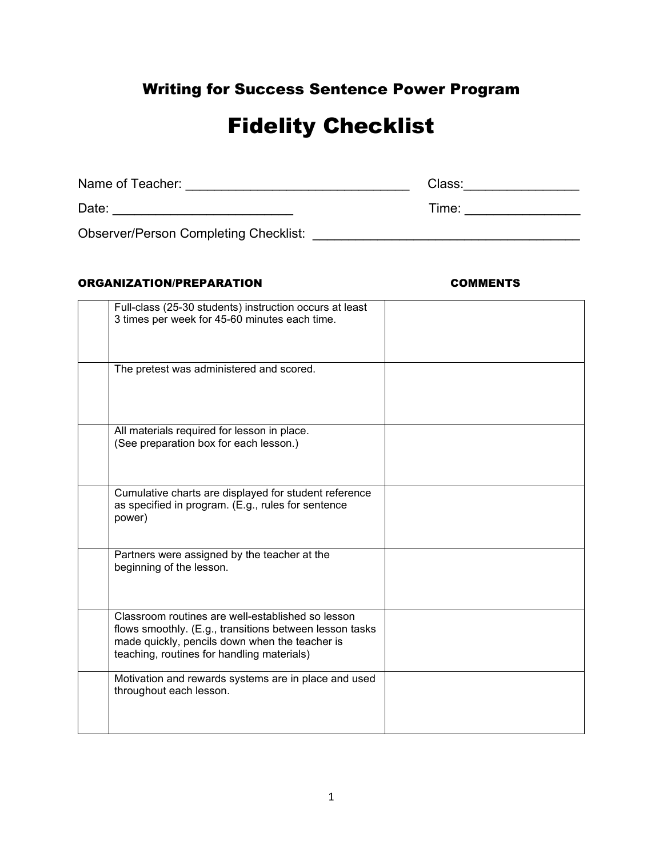# Writing for Success Sentence Power Program

# Fidelity Checklist

| Name of Teacher:                             | Class: |
|----------------------------------------------|--------|
| Date:                                        | Time:  |
| <b>Observer/Person Completing Checklist:</b> |        |

### ORGANIZATION/PREPARATION COMMENTS

| Full-class (25-30 students) instruction occurs at least<br>3 times per week for 45-60 minutes each time.                                                                                                     |  |
|--------------------------------------------------------------------------------------------------------------------------------------------------------------------------------------------------------------|--|
| The pretest was administered and scored.                                                                                                                                                                     |  |
| All materials required for lesson in place.<br>(See preparation box for each lesson.)                                                                                                                        |  |
| Cumulative charts are displayed for student reference<br>as specified in program. (E.g., rules for sentence<br>power)                                                                                        |  |
| Partners were assigned by the teacher at the<br>beginning of the lesson.                                                                                                                                     |  |
| Classroom routines are well-established so lesson<br>flows smoothly. (E.g., transitions between lesson tasks<br>made quickly, pencils down when the teacher is<br>teaching, routines for handling materials) |  |
| Motivation and rewards systems are in place and used<br>throughout each lesson.                                                                                                                              |  |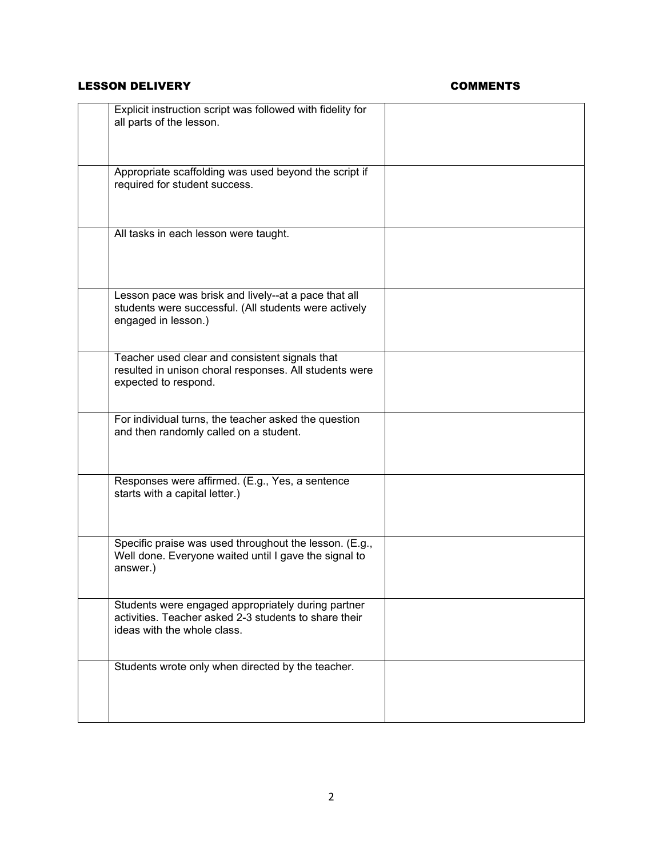# LESSON DELIVERY **COMMENTS**

| Explicit instruction script was followed with fidelity for<br>all parts of the lesson.                                                     |  |
|--------------------------------------------------------------------------------------------------------------------------------------------|--|
| Appropriate scaffolding was used beyond the script if<br>required for student success.                                                     |  |
| All tasks in each lesson were taught.                                                                                                      |  |
| Lesson pace was brisk and lively--at a pace that all<br>students were successful. (All students were actively<br>engaged in lesson.)       |  |
| Teacher used clear and consistent signals that<br>resulted in unison choral responses. All students were<br>expected to respond.           |  |
| For individual turns, the teacher asked the question<br>and then randomly called on a student.                                             |  |
| Responses were affirmed. (E.g., Yes, a sentence<br>starts with a capital letter.)                                                          |  |
| Specific praise was used throughout the lesson. (E.g.,<br>Well done. Everyone waited until I gave the signal to<br>answer.)                |  |
| Students were engaged appropriately during partner<br>activities. Teacher asked 2-3 students to share their<br>ideas with the whole class. |  |
| Students wrote only when directed by the teacher.                                                                                          |  |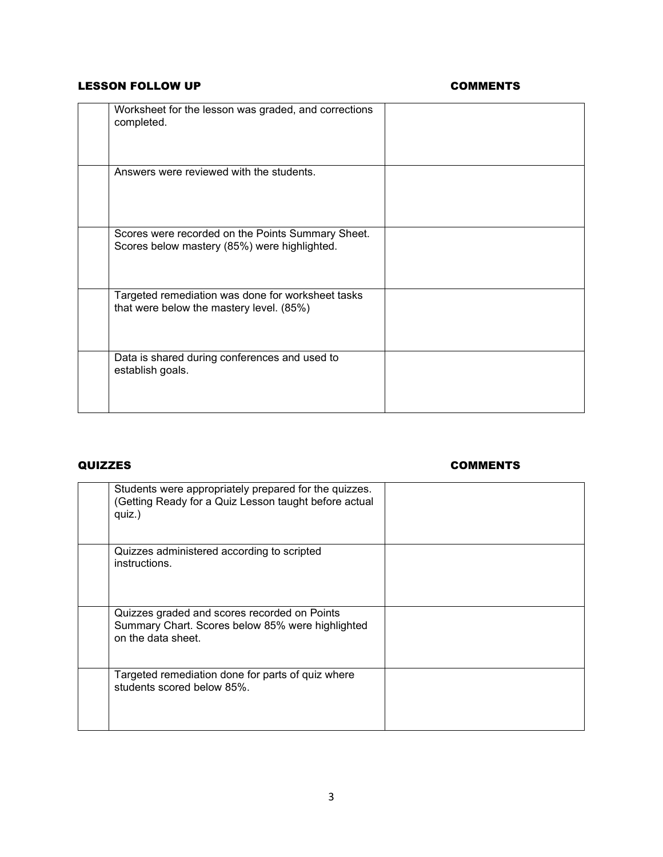# LESSON FOLLOW UP **COMMENTS**

| Worksheet for the lesson was graded, and corrections<br>completed.                                |  |
|---------------------------------------------------------------------------------------------------|--|
| Answers were reviewed with the students.                                                          |  |
| Scores were recorded on the Points Summary Sheet.<br>Scores below mastery (85%) were highlighted. |  |
| Targeted remediation was done for worksheet tasks<br>that were below the mastery level. (85%)     |  |
| Data is shared during conferences and used to<br>establish goals.                                 |  |

## QUIZZES COMMENTS

| Students were appropriately prepared for the quizzes.<br>(Getting Ready for a Quiz Lesson taught before actual<br>quiz.) |  |
|--------------------------------------------------------------------------------------------------------------------------|--|
| Quizzes administered according to scripted<br>instructions.                                                              |  |
| Quizzes graded and scores recorded on Points<br>Summary Chart. Scores below 85% were highlighted<br>on the data sheet.   |  |
| Targeted remediation done for parts of quiz where<br>students scored below 85%.                                          |  |